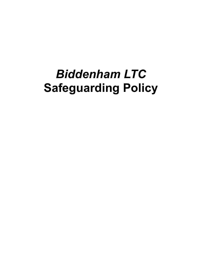# *Biddenham LTC* **Safeguarding Policy**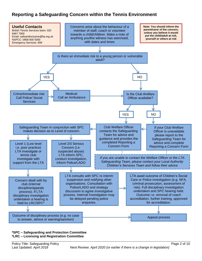# **Reporting a Safeguarding Concern within the Tennis Environment**



#### **\*SPC – Safeguarding and Protection Committee \*LRC – Licensing and Registration Committee**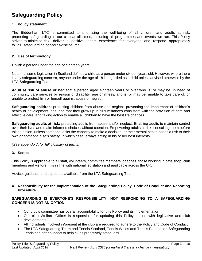# **Safeguarding Policy**

#### **1. Policy statement**

The Biddenham LTC is committed to prioritising the well-being of all children and adults at risk, promoting safeguarding in our club at all times, including all programmes and events we run. This Policy strives to minimise risk, deliver a positive tennis experience for everyone and respond appropriately to all safeguarding concerns/disclosures.

#### **2. Use of terminology**

**Child:** a person under the age of eighteen years.

Note that some legislation in Scotland defines a child as a person under sixteen years old. However, where there is any safeguarding concern, anyone under the age of 18 is regarded as a child unless advised otherwise by the LTA Safeguarding Team.

**Adult at risk of abuse or neglect:** a person aged eighteen years or over who is, or may be, in need of community care services by reason of disability, age or illness; and is, or may be, unable to take care of, or unable to protect him or herself against abuse or neglect.

**Safeguarding children:** protecting children from abuse and neglect, preventing the impairment of children's health or development, ensuring that they grow up in circumstances consistent with the provision of safe and effective care, and taking action to enable all children to have the best life chances.

**Safeguarding adults at risk:** protecting adults from abuse and/or neglect. Enabling adults to maintain control over their lives and make informed choices without coercion. Empowering adults at risk, consulting them before taking action, unless someone lacks the capacity to make a decision, or their mental health poses a risk to their own or someone else's safety, in which case, always acting in his or her best interests.

*(See appendix A for full glossary of terms)*.

#### **3. Scope**

This Policy is applicable to all staff, volunteers, committee members, coaches, those working in café/shop, club members and visitors. It is in line with national legislation and applicable across the UK.

Advice, guidance and support is available from the LTA Safeguarding Team.

#### **4. Responsibility for the implementation of the Safeguarding Policy, Code of Conduct and Reporting Procedure**

#### **SAFEGUARDING IS EVERYONE'S RESPONSIBILITY: NOT RESPONDING TO A SAFEGUARDING CONCERN IS NOT AN OPTION.**

- Our club's committee has overall accountability for this Policy and its implementation
- Our club Welfare Officer is responsible for updating this Policy in line with legislative and club developments
- All individuals involved in/present at the club are required to adhere to the Policy and Code of Conduct
- The LTA Safeguarding Team and Tennis Scotland, Tennis Wales and Tennis Foundation Safeguarding Leads can offer support to help clubs proactively safeguard.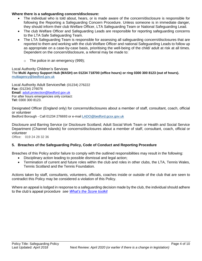#### **Where there is a safeguarding concern/disclosure:**

- The individual who is told about, hears, or is made aware of the concern/disclosure is responsible for following the Reporting a Safeguarding Concern Procedure. Unless someone is in immediate danger, they should inform their club Welfare Officer, LTA Safeguarding Team or National Safeguarding Lead.
- The club Welfare Officer and Safeguarding Leads are responsible for reporting safeguarding concerns to the LTA Safe Safeguarding Team.
- The LTA Safeguarding Team is responsible for assessing all safeguarding concern/disclosures that are reported to them and working with the club Welfare Officer and national Safeguarding Leads to follow up as appropriate on a case-by-case basis, prioritising the well-being of the child/ adult at risk at all times. Dependent on the concern/disclosure, a referral may be made to:
	- $\circ$  The police in an emergency (999);

Local Authority Children's Services The **Multi Agency Support Hub (MASH) on 01234 718700 (office hours) or ring 0300 300 8123 (out of hours).** [multiagency@bedford.gov.uk](mailto:multiagency@bedford.gov.uk)

Local Authority Adult Services**Tel:** (01234) 276222 **Fax:** (01234) 276076 **Email**: [adult.protection@bedford.gov.uk](mailto:adult.protection@bedford.gov.uk) For after hours emergencies only contact: **Tel:** 0300 300 8123.

Designated Officer (England only) for concerns/disclosures about a member of staff, consultant, coach, official or volunteer

Bedford Borough - Call 01234 276693 or e-mail [LADO@bedford.gcsx.gov.uk](mailto:LADO@bedford.gcsx.gov.uk)

Disclosure and Barring Service (or Disclosure Scotland; Adult Social Work Team or Health and Social Service Department (Channel Islands) for concerns/disclosures about a member of staff, consultant, coach, official or volunteer

Office: 019 24 28 32 36

#### **5. Breaches of the Safeguarding Policy, Code of Conduct and Reporting Procedure**

Breaches of this Policy and/or failure to comply with the outlined responsibilities may result in the following:

- Disciplinary action leading to possible dismissal and legal action;
- Termination of current and future roles within the club and roles in other clubs, the LTA, Tennis Wales, Tennis Scotland and the Tennis Foundation*.*

Actions taken by staff, consultants, volunteers, officials, coaches inside or outside of the club that are seen to contradict this Policy may be considered a violation of this Policy.

Where an appeal is lodged in response to a safeguarding decision made by the club, the individual should adhere to the club's appeal procedure *see [What's the Score toolkit](http://www.lta.org.uk/safeguarding)*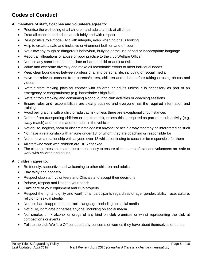# **Codes of Conduct**

#### **All members of staff, Coaches and volunteers agree to:**

- Prioritise the well-being of all children and adults at risk at all times
- Treat all children and adults at risk fairly and with respect
- Be a positive role model. Act with integrity, even when no one is looking
- Help to create a safe and inclusive environment both on and off court
- Not allow any rough or dangerous behaviour, bullying or the use of bad or inappropriate language
- Report all allegations of abuse or poor practice to the club Welfare Officer
- Not use any sanctions that humiliate or harm a child or adult at risk
- Value and celebrate diversity and make all reasonable efforts to meet individual needs
- Keep clear boundaries between professional and personal life, including on social media
- Have the relevant consent from parents/carers, children and adults before taking or using photos and videos
- Refrain from making physical contact with children or adults unless it is necessary as part of an emergency or congratulatory (e.g. handshake / high five)
- Refrain from smoking and consuming alcohol during club activities or coaching sessions
- Ensure roles and responsibilities are clearly outlined and everyone has the required information and training
- Avoid being alone with a child or adult at risk unless there are exceptional circumstances
- Refrain from transporting children or adults at risk, unless this is required as part of a club activity (e.g. away match) and there is another adult in the vehicle
- Not abuse, neglect, harm or discriminate against anyone; or act in a way that may be interpreted as such
- Not have a relationship with anyone under 18 for whom they are coaching or responsible for
- Not to have a relationship with anyone over 18 whilst continuing to coach or be responsible for them
- All staff who work with children are DBS checked.
- The club operates on a safer recruitment policy to ensure all members of staff and volunteers are safe to work with children and adults.

#### **All children agree to:**

- Be friendly, supportive and welcoming to other children and adults
- Play fairly and honestly
- Respect club staff, volunteers and Officials and accept their decisions
- Behave, respect and listen to your coach
- Take care of your equipment and club property
- Respect the rights, dignity and worth of all participants regardless of age, gender, ability, race, culture, religion or sexual identity
- Not use bad, inappropriate or racist language, including on social media
- Not bully, intimidate or harass anyone, including on social media
- Not smoke, drink alcohol or drugs of any kind on club premises or whilst representing the club at competitions or events
- Talk to the club Welfare Officer about any concerns or worries they have about themselves or others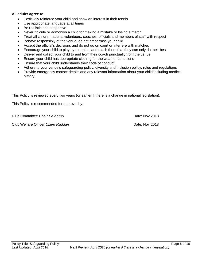#### **All adults agree to:**

- Positively reinforce your child and show an interest in their tennis
- Use appropriate language at all times
- Be realistic and supportive
- Never ridicule or admonish a child for making a mistake or losing a match
- Treat all children, adults, volunteers, coaches, officials and members of staff with respect
- Behave responsibly at the venue; do not embarrass your child
- Accept the official's decisions and do not go on court or interfere with matches
- Encourage your child to play by the rules, and teach them that they can only do their best
- Deliver and collect your child to and from their coach punctually from the venue
- Ensure your child has appropriate clothing for the weather conditions
- Ensure that your child understands their code of conduct
- Adhere to your venue's safeguarding policy, diversity and inclusion policy, rules and regulations
- Provide emergency contact details and any relevant information about your child including medical history.

This Policy is reviewed every two years (or earlier if there is a change in national legislation).

This Policy is recommended for approval by:

Club Committee Chair *Ed Kemp*

Club Welfare Officer *Claire Raddan* Date: Nov 2018

Date: Nov 2018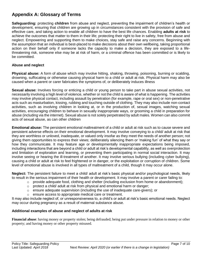# **Appendix A: Glossary of Terms**

**Safeguarding:** protecting **children** from abuse and neglect, preventing the impairment of children's health or development, ensuring that children are growing up in circumstances consistent with the provision of safe and effective care, and taking action to enable all children to have the best life chances. Enabling **adults at risk** to achieve the outcomes that matter to them in their life; protecting their right to live in safety, free from abuse and neglect. Empowering and supporting them to make choices, stay safe and raise any concerns. Beginning with the assumption that an individual is best-placed to make decisions about their own wellbeing, taking proportional action on their behalf only if someone lacks the capacity to make a decision, they are exposed to a lifethreatening risk, someone else may be at risk of harm, or a criminal offence has been committed or is likely to be committed.

#### **Abuse and neglect**

**Physical abuse:** A form of abuse which may involve hitting, shaking, throwing, poisoning, burning or scalding, drowning, suffocating or otherwise causing physical harm to a child or adult at risk. Physical harm may also be caused when a parent or carer fabricates the symptoms of, or deliberately induces illness

**Sexual abuse:** Involves forcing or enticing a child or young person to take part in abuse sexual activities, not necessarily involving a high level of violence, whether or not the child is aware of what is happening. The activities may involve physical contact, including assault by penetration (for example, rape or oral sex) or non-penetrative acts such as masturbation, kissing, rubbing and touching outside of clothing. They may also include non-contact activities, such as involving children in looking at, or in the production of, sexual images, watching sexual activities, encouraging children to behave in sexually inappropriate ways, or grooming a child in preparation for abuse (including via the internet). Sexual abuse is not solely perpetrated by adult males. Women can also commit acts of sexual abuse, as can other children

**Emotional abuse:** The persistent emotional maltreatment of a child or adult at risk such as to cause severe and persistent adverse effects on their emotional development. It may involve conveying to a child/ adult at risk that they are worthless or unloved, inadequate, or valued only insofar as they meet the needs of another person; not giving them opportunities to express their views; deliberately silencing them or 'making fun' of what they say or how they communicate. It may feature age or developmentally inappropriate expectations being imposed, including interactions that are beyond a child or adult at risk's developmental capability, as well as overprotection and limitation of exploration and learning, or preventing them participating in normal social interaction. It may involve seeing or hearing the ill-treatment of another. It may involve serious bullying (including cyber bullying), causing a child or adult at risk to feel frightened or in danger, or the exploitation or corruption of children. Some level of emotional abuse is involved in all types of maltreatment of a child, though it may occur alone.

**Neglect:** The persistent failure to meet a child/ adult at risk's basic physical and/or psychological needs, likely to result in the serious impairment of their health or development. It may involve a parent or carer failing to:

- $\circ$  provide adequate food, clothing and shelter (including exclusion from home or abandonment);
- $\circ$  protect a child/ adult at risk from physical and emotional harm or danger;
- o ensure adequate supervision (including the use of inadequate care-givers); or
- o ensure access to appropriate medical care or treatment.

It may also include neglect of, or unresponsiveness to, a child's or adult at risk's basic emotional needs. Neglect may occur during pregnancy as a result of maternal substance abuse.

#### **Additional examples of abuse and neglect of adults at risk**

**Financial abuse**: having money or property stolen; being defrauded; being put under pressure in relation to money or other property; and having money or other property misused.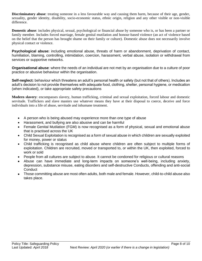**Discriminatory abuse**: treating someone in a less favourable way and causing them harm, because of their age, gender, sexuality, gender identity, disability, socio-economic status, ethnic origin, religion and any other visible or non-visible difference.

**Domestic abuse**: includes physical, sexual, psychological or financial abuse by someone who is, or has been a partner or family member. Includes forced marriage, female genital mutilation and honour-based violence (an act of violence based on the belief that the person has brought shame on their family or culture). Domestic abuse does not necessarily involve physical contact or violence.

**Psychological abuse:** including emotional abuse, threats of harm or abandonment, deprivation of contact, humiliation, blaming, controlling, intimidation, coercion, harassment, verbal abuse, isolation or withdrawal from services or supportive networks.

**Organisational abuse**: where the needs of an individual are not met by an organisation due to a culture of poor practice or abusive behaviour within the organisation.

**Self-neglect:** behaviour which threatens an adult's personal health or safety (but not that of others). Includes an adult's decision to not provide themselves with adequate food, clothing, shelter, personal hygiene, or medication (when indicated), or take appropriate safety precautions

**Modern slavery**: encompasses slavery, human trafficking, criminal and sexual exploitation, forced labour and domestic servitude. Traffickers and slave masters use whatever means they have at their disposal to coerce, deceive and force individuals into a life of abuse, servitude and inhumane treatment.

- A person who is being abused may experience more than one type of abuse
- Harassment, and bullying are also abusive and can be harmful
- Female Genital Mutilation (FGM) is now recognised as a form of physical, sexual and emotional abuse that is practised across the UK
- Child Sexual Exploitation is recognised as a form of sexual abuse in which children are sexually exploited for money, power or status
- Child trafficking is recognised as child abuse where children are often subject to multiple forms of exploitation. Children are recruited, moved or transported to, or within the UK, then exploited, forced to work or sold
- People from all cultures are subject to abuse. It cannot be condoned for religious or cultural reasons
- Abuse can have immediate and long-term impacts on someone's well-being, including anxiety, depression, substance misuse, eating disorders and self-destructive Conducts, offending and anti-social **Conduct**
- Those committing abuse are most often adults, both male and female. However, child-to-child abuse also takes place.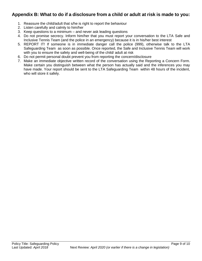### **Appendix B: What to do if a disclosure from a child or adult at risk is made to you:**

- 1. Reassure the child/adult that s/he is right to report the behaviour
- 2. Listen carefully and calmly to him/her
- 3. Keep questions to a minimum and never ask leading questions
- 4. Do not promise secrecy. Inform him/her that you must report your conversation to the LTA Safe and Inclusive Tennis Team (and the police in an emergency) because it is in his/her best interest
- 5. REPORT IT! If someone is in immediate danger call the police (999), otherwise talk to the LTA Safeguarding Team as soon as possible. Once reported, the Safe and Inclusive Tennis Team will work with you to ensure the safety and well-being of the child/ adult at risk
- 6. Do not permit personal doubt prevent you from reporting the concern/disclosure
- 7. Make an immediate objective written record of the conversation using the Reporting a Concern Form. Make certain you distinguish between what the person has actually said and the inferences you may have made. Your report should be sent to the LTA Safeguarding Team within 48 hours of the incident, who will store it safely.